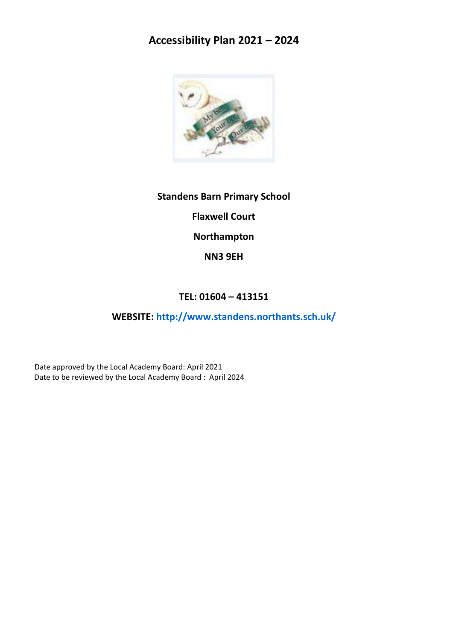# **Accessibility Plan 2021 – 2024**



**Standens Barn Primary School Flaxwell Court Northampton NN3 9EH**

# **TEL: 01604 – 413151**

**WEBSITE:<http://www.standens.northants.sch.uk/>**

Date approved by the Local Academy Board: April 2021 Date to be reviewed by the Local Academy Board : April 2024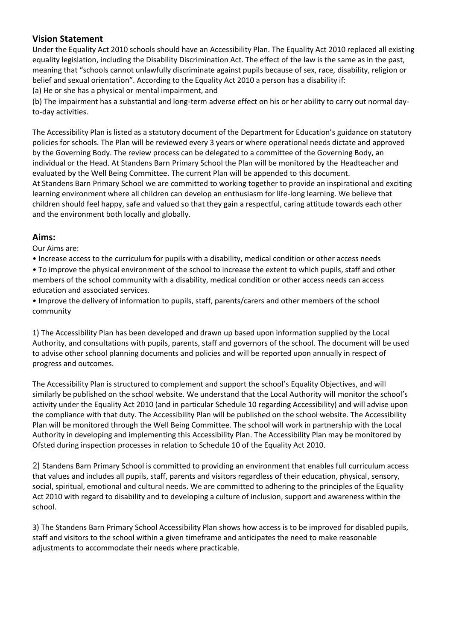# **Vision Statement**

Under the Equality Act 2010 schools should have an Accessibility Plan. The Equality Act 2010 replaced all existing equality legislation, including the Disability Discrimination Act. The effect of the law is the same as in the past, meaning that "schools cannot unlawfully discriminate against pupils because of sex, race, disability, religion or belief and sexual orientation". According to the Equality Act 2010 a person has a disability if: (a) He or she has a physical or mental impairment, and

(b) The impairment has a substantial and long-term adverse effect on his or her ability to carry out normal dayto-day activities.

The Accessibility Plan is listed as a statutory document of the Department for Education's guidance on statutory policies for schools. The Plan will be reviewed every 3 years or where operational needs dictate and approved by the Governing Body. The review process can be delegated to a committee of the Governing Body, an individual or the Head. At Standens Barn Primary School the Plan will be monitored by the Headteacher and evaluated by the Well Being Committee. The current Plan will be appended to this document. At Standens Barn Primary School we are committed to working together to provide an inspirational and exciting learning environment where all children can develop an enthusiasm for life-long learning. We believe that children should feel happy, safe and valued so that they gain a respectful, caring attitude towards each other and the environment both locally and globally.

## **Aims:**

Our Aims are:

• Increase access to the curriculum for pupils with a disability, medical condition or other access needs

• To improve the physical environment of the school to increase the extent to which pupils, staff and other members of the school community with a disability, medical condition or other access needs can access education and associated services.

• Improve the delivery of information to pupils, staff, parents/carers and other members of the school community

1) The Accessibility Plan has been developed and drawn up based upon information supplied by the Local Authority, and consultations with pupils, parents, staff and governors of the school. The document will be used to advise other school planning documents and policies and will be reported upon annually in respect of progress and outcomes.

The Accessibility Plan is structured to complement and support the school's Equality Objectives, and will similarly be published on the school website. We understand that the Local Authority will monitor the school's activity under the Equality Act 2010 (and in particular Schedule 10 regarding Accessibility) and will advise upon the compliance with that duty. The Accessibility Plan will be published on the school website. The Accessibility Plan will be monitored through the Well Being Committee. The school will work in partnership with the Local Authority in developing and implementing this Accessibility Plan. The Accessibility Plan may be monitored by Ofsted during inspection processes in relation to Schedule 10 of the Equality Act 2010.

2) Standens Barn Primary School is committed to providing an environment that enables full curriculum access that values and includes all pupils, staff, parents and visitors regardless of their education, physical, sensory, social, spiritual, emotional and cultural needs. We are committed to adhering to the principles of the Equality Act 2010 with regard to disability and to developing a culture of inclusion, support and awareness within the school.

3) The Standens Barn Primary School Accessibility Plan shows how access is to be improved for disabled pupils, staff and visitors to the school within a given timeframe and anticipates the need to make reasonable adjustments to accommodate their needs where practicable.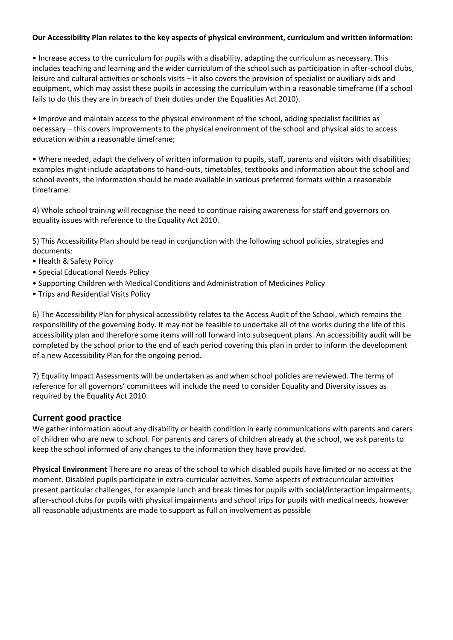#### **Our Accessibility Plan relates to the key aspects of physical environment, curriculum and written information:**

• Increase access to the curriculum for pupils with a disability, adapting the curriculum as necessary. This includes teaching and learning and the wider curriculum of the school such as participation in after-school clubs, leisure and cultural activities or schools visits – it also covers the provision of specialist or auxiliary aids and equipment, which may assist these pupils in accessing the curriculum within a reasonable timeframe (If a school fails to do this they are in breach of their duties under the Equalities Act 2010).

• Improve and maintain access to the physical environment of the school, adding specialist facilities as necessary – this covers improvements to the physical environment of the school and physical aids to access education within a reasonable timeframe;

• Where needed, adapt the delivery of written information to pupils, staff, parents and visitors with disabilities; examples might include adaptations to hand-outs, timetables, textbooks and information about the school and school events; the information should be made available in various preferred formats within a reasonable timeframe.

4) Whole school training will recognise the need to continue raising awareness for staff and governors on equality issues with reference to the Equality Act 2010.

5) This Accessibility Plan should be read in conjunction with the following school policies, strategies and documents:

- Health & Safety Policy
- Special Educational Needs Policy
- Supporting Children with Medical Conditions and Administration of Medicines Policy
- Trips and Residential Visits Policy

6) The Accessibility Plan for physical accessibility relates to the Access Audit of the School, which remains the responsibility of the governing body. It may not be feasible to undertake all of the works during the life of this accessibility plan and therefore some items will roll forward into subsequent plans. An accessibility audit will be completed by the school prior to the end of each period covering this plan in order to inform the development of a new Accessibility Plan for the ongoing period.

7) Equality Impact Assessments will be undertaken as and when school policies are reviewed. The terms of reference for all governors' committees will include the need to consider Equality and Diversity issues as required by the Equality Act 2010.

### **Current good practice**

We gather information about any disability or health condition in early communications with parents and carers of children who are new to school. For parents and carers of children already at the school, we ask parents to keep the school informed of any changes to the information they have provided.

**Physical Environment** There are no areas of the school to which disabled pupils have limited or no access at the moment. Disabled pupils participate in extra-curricular activities. Some aspects of extracurricular activities present particular challenges, for example lunch and break times for pupils with social/interaction impairments, after-school clubs for pupils with physical impairments and school trips for pupils with medical needs, however all reasonable adjustments are made to support as full an involvement as possible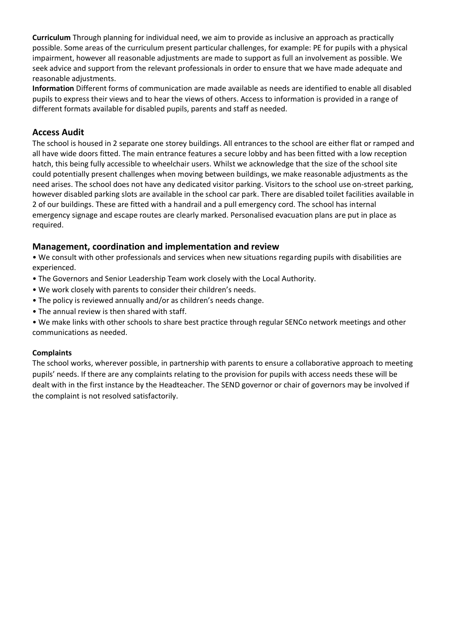**Curriculum** Through planning for individual need, we aim to provide as inclusive an approach as practically possible. Some areas of the curriculum present particular challenges, for example: PE for pupils with a physical impairment, however all reasonable adjustments are made to support as full an involvement as possible. We seek advice and support from the relevant professionals in order to ensure that we have made adequate and reasonable adjustments.

**Information** Different forms of communication are made available as needs are identified to enable all disabled pupils to express their views and to hear the views of others. Access to information is provided in a range of different formats available for disabled pupils, parents and staff as needed.

## **Access Audit**

The school is housed in 2 separate one storey buildings. All entrances to the school are either flat or ramped and all have wide doors fitted. The main entrance features a secure lobby and has been fitted with a low reception hatch, this being fully accessible to wheelchair users. Whilst we acknowledge that the size of the school site could potentially present challenges when moving between buildings, we make reasonable adjustments as the need arises. The school does not have any dedicated visitor parking. Visitors to the school use on-street parking, however disabled parking slots are available in the school car park. There are disabled toilet facilities available in 2 of our buildings. These are fitted with a handrail and a pull emergency cord. The school has internal emergency signage and escape routes are clearly marked. Personalised evacuation plans are put in place as required.

# **Management, coordination and implementation and review**

• We consult with other professionals and services when new situations regarding pupils with disabilities are experienced.

- The Governors and Senior Leadership Team work closely with the Local Authority.
- We work closely with parents to consider their children's needs.
- The policy is reviewed annually and/or as children's needs change.
- The annual review is then shared with staff.

• We make links with other schools to share best practice through regular SENCo network meetings and other communications as needed.

### **Complaints**

The school works, wherever possible, in partnership with parents to ensure a collaborative approach to meeting pupils' needs. If there are any complaints relating to the provision for pupils with access needs these will be dealt with in the first instance by the Headteacher. The SEND governor or chair of governors may be involved if the complaint is not resolved satisfactorily.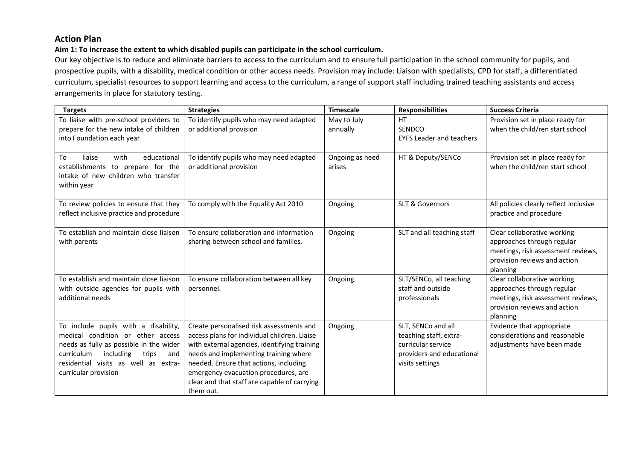## **Action Plan**

#### **Aim 1: To increase the extent to which disabled pupils can participate in the school curriculum.**

Our key objective is to reduce and eliminate barriers to access to the curriculum and to ensure full participation in the school community for pupils, and prospective pupils, with a disability, medical condition or other access needs. Provision may include: Liaison with specialists, CPD for staff, a differentiated curriculum, specialist resources to support learning and access to the curriculum, a range of support staff including trained teaching assistants and access arrangements in place for statutory testing.

| <b>Targets</b>                                                                                                                                                                                                                  | <b>Strategies</b>                                                                                                                                                                                                                                                                                                                | <b>Timescale</b>          | <b>Responsibilities</b>                                                                                            | <b>Success Criteria</b>                                                                                                                     |
|---------------------------------------------------------------------------------------------------------------------------------------------------------------------------------------------------------------------------------|----------------------------------------------------------------------------------------------------------------------------------------------------------------------------------------------------------------------------------------------------------------------------------------------------------------------------------|---------------------------|--------------------------------------------------------------------------------------------------------------------|---------------------------------------------------------------------------------------------------------------------------------------------|
| To liaise with pre-school providers to<br>prepare for the new intake of children<br>into Foundation each year                                                                                                                   | To identify pupils who may need adapted<br>or additional provision                                                                                                                                                                                                                                                               | May to July<br>annually   | <b>HT</b><br>SENDCO<br><b>EYFS Leader and teachers</b>                                                             | Provision set in place ready for<br>when the child/ren start school                                                                         |
| To<br>liaise<br>with<br>educational<br>establishments to prepare for the<br>intake of new children who transfer<br>within year                                                                                                  | To identify pupils who may need adapted<br>or additional provision                                                                                                                                                                                                                                                               | Ongoing as need<br>arises | HT & Deputy/SENCo                                                                                                  | Provision set in place ready for<br>when the child/ren start school                                                                         |
| To review policies to ensure that they<br>reflect inclusive practice and procedure                                                                                                                                              | To comply with the Equality Act 2010                                                                                                                                                                                                                                                                                             | Ongoing                   | <b>SLT &amp; Governors</b>                                                                                         | All policies clearly reflect inclusive<br>practice and procedure                                                                            |
| To establish and maintain close liaison<br>with parents                                                                                                                                                                         | To ensure collaboration and information<br>sharing between school and families.                                                                                                                                                                                                                                                  | Ongoing                   | SLT and all teaching staff                                                                                         | Clear collaborative working<br>approaches through regular<br>meetings, risk assessment reviews,<br>provision reviews and action<br>planning |
| To establish and maintain close liaison<br>with outside agencies for pupils with<br>additional needs                                                                                                                            | To ensure collaboration between all key<br>personnel.                                                                                                                                                                                                                                                                            | Ongoing                   | SLT/SENCo, all teaching<br>staff and outside<br>professionals                                                      | Clear collaborative working<br>approaches through regular<br>meetings, risk assessment reviews,<br>provision reviews and action<br>planning |
| To include pupils with a disability,<br>medical condition or other access<br>needs as fully as possible in the wider<br>including<br>curriculum<br>trips<br>and<br>residential visits as well as extra-<br>curricular provision | Create personalised risk assessments and<br>access plans for individual children. Liaise<br>with external agencies, identifying training<br>needs and implementing training where<br>needed. Ensure that actions, including<br>emergency evacuation procedures, are<br>clear and that staff are capable of carrying<br>them out. | Ongoing                   | SLT, SENCo and all<br>teaching staff, extra-<br>curricular service<br>providers and educational<br>visits settings | Evidence that appropriate<br>considerations and reasonable<br>adjustments have been made                                                    |